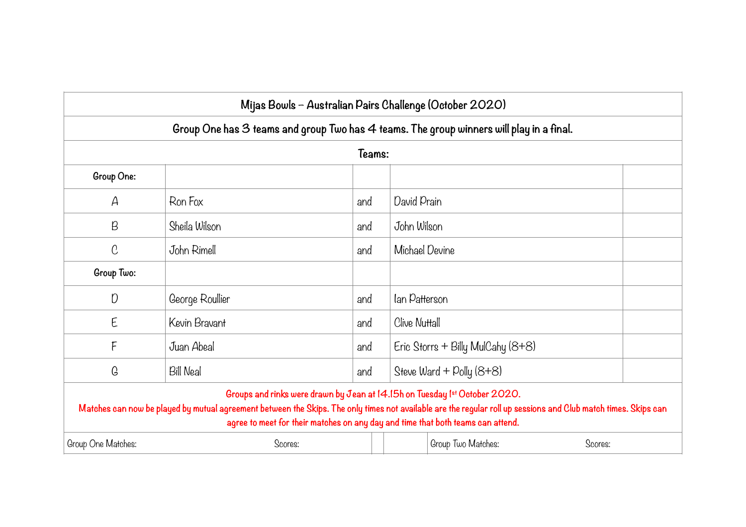| Mijas Bowls – Australian Pairs Challenge (October 2020)                                                                                                                                                                                                                                                                         |                  |     |                                   |  |  |  |  |  |  |  |  |
|---------------------------------------------------------------------------------------------------------------------------------------------------------------------------------------------------------------------------------------------------------------------------------------------------------------------------------|------------------|-----|-----------------------------------|--|--|--|--|--|--|--|--|
| Group One has $3$ teams and group Two has $4$ teams. The group winners will play in a final.                                                                                                                                                                                                                                    |                  |     |                                   |  |  |  |  |  |  |  |  |
| Teams:                                                                                                                                                                                                                                                                                                                          |                  |     |                                   |  |  |  |  |  |  |  |  |
| Group One:                                                                                                                                                                                                                                                                                                                      |                  |     |                                   |  |  |  |  |  |  |  |  |
| $\mathcal{A}$                                                                                                                                                                                                                                                                                                                   | Ron Fox          | and | David Prain                       |  |  |  |  |  |  |  |  |
| $\beta$                                                                                                                                                                                                                                                                                                                         | Sheila Wilson    | and | John Wilson                       |  |  |  |  |  |  |  |  |
| $\mathcal C$                                                                                                                                                                                                                                                                                                                    | John Rimell      | and | Michael Devine                    |  |  |  |  |  |  |  |  |
| Group Two:                                                                                                                                                                                                                                                                                                                      |                  |     |                                   |  |  |  |  |  |  |  |  |
| D                                                                                                                                                                                                                                                                                                                               | George Roullier  | and | lan Patterson                     |  |  |  |  |  |  |  |  |
| E                                                                                                                                                                                                                                                                                                                               | Kevin Bravant    | and | Clive Nuttall                     |  |  |  |  |  |  |  |  |
| F                                                                                                                                                                                                                                                                                                                               | Juan Abeal       | and | Eric Storrs + Billy MulCahy (8+8) |  |  |  |  |  |  |  |  |
| G                                                                                                                                                                                                                                                                                                                               | <b>Bill Neal</b> | and | Steve Ward + Polly (8+8)          |  |  |  |  |  |  |  |  |
| Groups and rinks were drawn by Jean at 14.15h on Tuesday 1st October 2020.<br>Matches can now be played by mutual agreement between the Skips. The only times not available are the regular roll up sessions and Club match times. Skips can<br>agree to meet for their matches on any day and time that both teams can attend. |                  |     |                                   |  |  |  |  |  |  |  |  |
| Group One Matches:                                                                                                                                                                                                                                                                                                              | Scores:          |     | Group Two Matches:<br>Scores:     |  |  |  |  |  |  |  |  |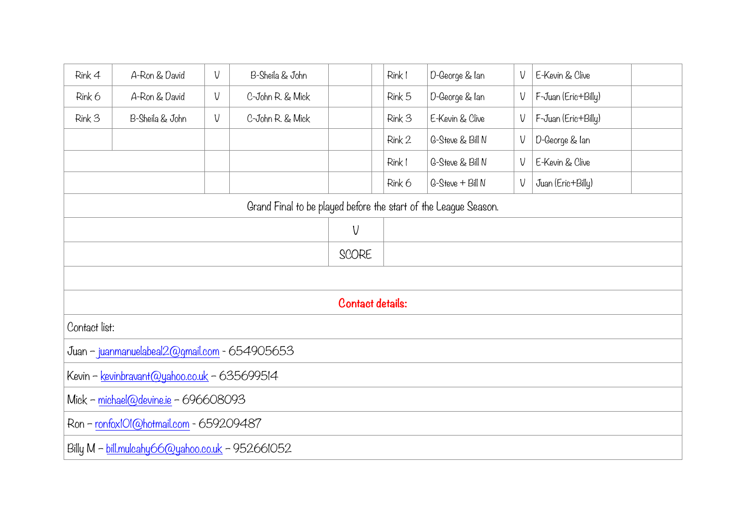| $Rink$ 4                                                        | A-Ron & David   | V | B-Sheila & John  |  | Rink I | D-George & lan   | V | E-Kevin & Clive     |  |
|-----------------------------------------------------------------|-----------------|---|------------------|--|--------|------------------|---|---------------------|--|
| Rink 6                                                          | A-Ron & David   | V | C-John R. & Mick |  | Rink 5 | D-George & lan   | V | F-Juan (Eric+Billy) |  |
| Rink 3                                                          | B-Sheila & John | V | C-John R. & Mick |  | Rink 3 | E-Kevin & Clive  | V | F-Juan (Eric+Billy) |  |
|                                                                 |                 |   |                  |  | Rink 2 | G-Steve & Bill N | V | D-George & lan      |  |
|                                                                 |                 |   |                  |  | Rink I | G-Steve & Bill N | V | E-Kevin & Clive     |  |
|                                                                 |                 |   |                  |  | Rink 6 | G-Steve + Bill N | V | Juan (Eric+Billy)   |  |
| Grand Final to be played before the start of the League Season. |                 |   |                  |  |        |                  |   |                     |  |
|                                                                 |                 |   | V                |  |        |                  |   |                     |  |
|                                                                 |                 |   | SCORE            |  |        |                  |   |                     |  |
|                                                                 |                 |   |                  |  |        |                  |   |                     |  |
| Contact details:                                                |                 |   |                  |  |        |                  |   |                     |  |
| Contact list:                                                   |                 |   |                  |  |        |                  |   |                     |  |
| Juan - juanmanuelabeal2@gmail.com - 654905653                   |                 |   |                  |  |        |                  |   |                     |  |
| Kevin - kevinbravant@yahoo.co.uk - 635699514                    |                 |   |                  |  |        |                  |   |                     |  |
| Mick - michael@devine.ie - 696608093                            |                 |   |                  |  |        |                  |   |                     |  |
| Ron - ronfoxIOI@hotmail.com - 659209487                         |                 |   |                  |  |        |                  |   |                     |  |
| Billy M - bill.mulcahy66@yahoo.co.uk - 952661052                |                 |   |                  |  |        |                  |   |                     |  |